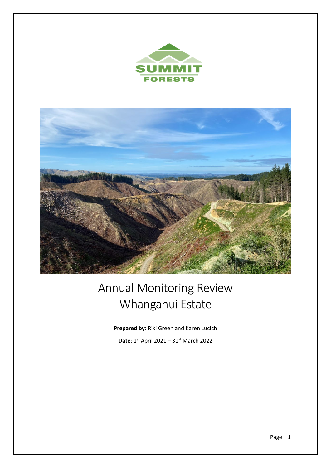



# Annual Monitoring Review Whanganui Estate

**Prepared by:** Riki Green and Karen Lucich

**Date**: 1st April 2021 – 31st March 2022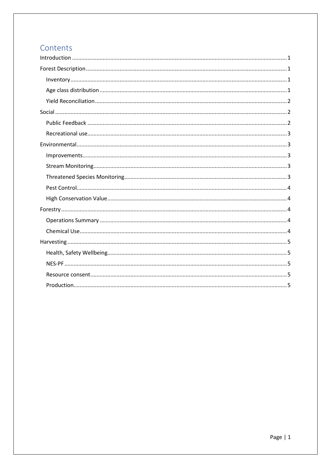# Contents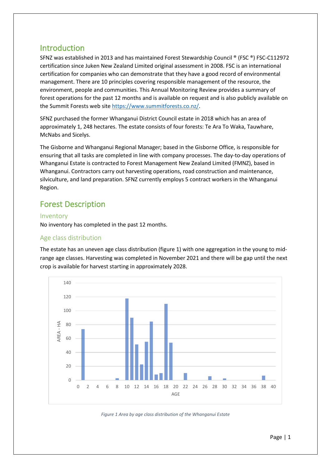## <span id="page-2-0"></span>Introduction

SFNZ was established in 2013 and has maintained Forest Stewardship Council ® (FSC ®) FSC-C112972 certification since Juken New Zealand Limited original assessment in 2008. FSC is an international certification for companies who can demonstrate that they have a good record of environmental management. There are 10 principles covering responsible management of the resource, the environment, people and communities. This Annual Monitoring Review provides a summary of forest operations for the past 12 months and is available on request and is also publicly available on the Summit Forests web sit[e https://www.summitforests.co.nz/.](https://www.summitforests.co.nz/)

SFNZ purchased the former Whanganui District Council estate in 2018 which has an area of approximately 1, 248 hectares. The estate consists of four forests: Te Ara To Waka, Tauwhare, McNabs and Sicelys.

The Gisborne and Whanganui Regional Manager; based in the Gisborne Office, is responsible for ensuring that all tasks are completed in line with company processes. The day-to-day operations of Whanganui Estate is contracted to Forest Management New Zealand Limited (FMNZ), based in Whanganui. Contractors carry out harvesting operations, road construction and maintenance, silviculture, and land preparation. SFNZ currently employs 5 contract workers in the Whanganui Region.

## <span id="page-2-1"></span>Forest Description

#### <span id="page-2-2"></span>Inventory

No inventory has completed in the past 12 months.

## <span id="page-2-3"></span>Age class distribution

The estate has an uneven age class distribution (figure 1) with one aggregation in the young to midrange age classes. Harvesting was completed in November 2021 and there will be gap until the next crop is available for harvest starting in approximately 2028.



*Figure 1 Area by age class distribution of the Whanganui Estate*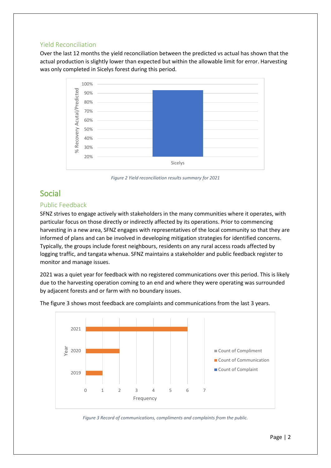#### <span id="page-3-0"></span>Yield Reconciliation

Over the last 12 months the yield reconciliation between the predicted vs actual has shown that the actual production is slightly lower than expected but within the allowable limit for error. Harvesting was only completed in Sicelys forest during this period.



*Figure 2 Yield reconciliation results summary for 2021*

## <span id="page-3-1"></span>Social

#### <span id="page-3-2"></span>Public Feedback

SFNZ strives to engage actively with stakeholders in the many communities where it operates, with particular focus on those directly or indirectly affected by its operations. Prior to commencing harvesting in a new area, SFNZ engages with representatives of the local community so that they are informed of plans and can be involved in developing mitigation strategies for identified concerns. Typically, the groups include forest neighbours, residents on any rural access roads affected by logging traffic, and tangata whenua. SFNZ maintains a stakeholder and public feedback register to monitor and manage issues.

2021 was a quiet year for feedback with no registered communications over this period. This is likely due to the harvesting operation coming to an end and where they were operating was surrounded by adjacent forests and or farm with no boundary issues.





*Figure 3 Record of communications, compliments and complaints from the public.*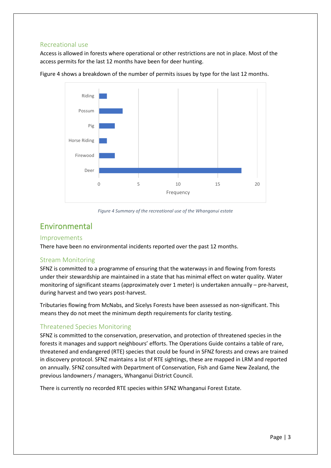#### <span id="page-4-0"></span>Recreational use

Access is allowed in forests where operational or other restrictions are not in place. Most of the access permits for the last 12 months have been for deer hunting.



Figure 4 shows a breakdown of the number of permits issues by type for the last 12 months.

*Figure 4 Summary of the recreational use of the Whanganui estate*

## <span id="page-4-1"></span>Environmental

#### <span id="page-4-2"></span>Improvements

There have been no environmental incidents reported over the past 12 months.

#### <span id="page-4-3"></span>Stream Monitoring

SFNZ is committed to a programme of ensuring that the waterways in and flowing from forests under their stewardship are maintained in a state that has minimal effect on water quality. Water monitoring of significant steams (approximately over 1 meter) is undertaken annually – pre-harvest, during harvest and two years post-harvest.

Tributaries flowing from McNabs, and Sicelys Forests have been assessed as non-significant. This means they do not meet the minimum depth requirements for clarity testing.

### <span id="page-4-4"></span>Threatened Species Monitoring

SFNZ is committed to the conservation, preservation, and protection of threatened species in the forests it manages and support neighbours' efforts. The Operations Guide contains a table of rare, threatened and endangered (RTE) species that could be found in SFNZ forests and crews are trained in discovery protocol. SFNZ maintains a list of RTE sightings, these are mapped in LRM and reported on annually. SFNZ consulted with Department of Conservation, Fish and Game New Zealand, the previous landowners / managers, Whanganui District Council.

There is currently no recorded RTE species within SFNZ Whanganui Forest Estate.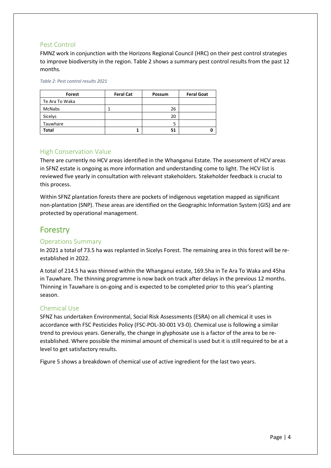#### <span id="page-5-0"></span>Pest Control

FMNZ work in conjunction with the Horizons Regional Council (HRC) on their pest control strategies to improve biodiversity in the region. Table 2 shows a summary pest control results from the past 12 months.

*Table 2: Pest control results 2021*

| Forest         | <b>Feral Cat</b> | Possum | <b>Feral Goat</b> |
|----------------|------------------|--------|-------------------|
| Te Ara To Waka |                  |        |                   |
| <b>McNabs</b>  |                  | 26     |                   |
| Sicelys        |                  | 20     |                   |
| Tauwhare       |                  |        |                   |
| <b>Total</b>   |                  | 51     |                   |

#### <span id="page-5-1"></span>High Conservation Value

There are currently no HCV areas identified in the Whanganui Estate. The assessment of HCV areas in SFNZ estate is ongoing as more information and understanding come to light. The HCV list is reviewed five yearly in consultation with relevant stakeholders. Stakeholder feedback is crucial to this process.

Within SFNZ plantation forests there are pockets of indigenous vegetation mapped as significant non-plantation (SNP). These areas are identified on the Geographic Information System (GIS) and are protected by operational management.

# <span id="page-5-2"></span>Forestry

#### <span id="page-5-3"></span>Operations Summary

In 2021 a total of 73.5 ha was replanted in Sicelys Forest. The remaining area in this forest will be reestablished in 2022.

A total of 214.5 ha was thinned within the Whanganui estate, 169.5ha in Te Ara To Waka and 45ha in Tauwhare. The thinning programme is now back on track after delays in the previous 12 months. Thinning in Tauwhare is on-going and is expected to be completed prior to this year's planting season.

#### <span id="page-5-4"></span>Chemical Use

SFNZ has undertaken Environmental, Social Risk Assessments (ESRA) on all chemical it uses in accordance with FSC Pesticides Policy (FSC-POL-30-001 V3-0). Chemical use is following a similar trend to previous years. Generally, the change in glyphosate use is a factor of the area to be reestablished. Where possible the minimal amount of chemical is used but it is still required to be at a level to get satisfactory results.

Figure 5 shows a breakdown of chemical use of active ingredient for the last two years.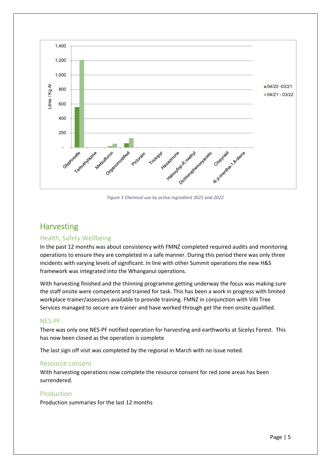

*Figure 5 Chemical use by active ingredient 2021 and 2022*

## <span id="page-6-0"></span>**Harvesting**

## <span id="page-6-1"></span>Health, Safety Wellbeing

In the past 12 months was about consistency with FMNZ completed required audits and monitoring operations to ensure they are completed in a safe manner. During this period there was only three incidents with varying levels of significant. In line with other Summit operations the new H&S framework was integrated into the Whanganui operations.

With harvesting finished and the thinning programme getting underway the focus was making sure the staff onsite were competent and trained for task. This has been a work in progress with limited workplace trainer/assessors available to provide training. FMNZ in conjunction with Villi Tree Services managed to secure are trainer and have worked through get the men onsite qualified.

#### <span id="page-6-2"></span>NES-PF

There was only one NES-PF notified operation for harvesting and earthworks at Sicelys Forest. This has now been closed as the operation is complete

The last sign off visit was completed by the regional in March with no issue noted.

#### <span id="page-6-3"></span>Resource consent

With harvesting operations now complete the resource consent for red zone areas has been surrendered.

#### <span id="page-6-4"></span>Production

Production summaries for the last 12 months